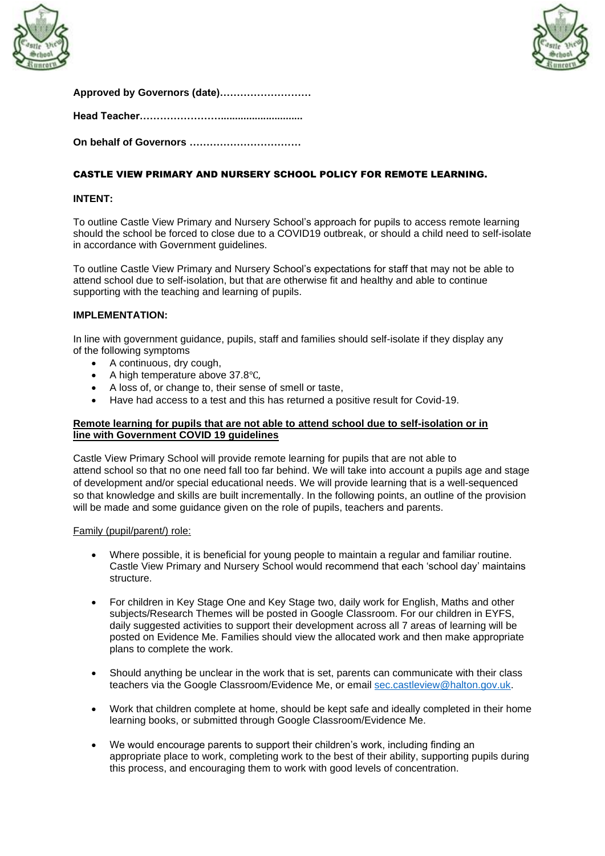



|  | Approved by Governors (date) |
|--|------------------------------|
|  |                              |

**Head Teacher…………………….............................**

**On behalf of Governors ……………………………**

# CASTLE VIEW PRIMARY AND NURSERY SCHOOL POLICY FOR REMOTE LEARNING.

## **INTENT:**

To outline Castle View Primary and Nursery School's approach for pupils to access remote learning should the school be forced to close due to a COVID19 outbreak, or should a child need to self-isolate in accordance with Government guidelines.

To outline Castle View Primary and Nursery School's expectations for staff that may not be able to attend school due to self-isolation, but that are otherwise fit and healthy and able to continue supporting with the teaching and learning of pupils.

### **IMPLEMENTATION:**

In line with government guidance, pupils, staff and families should self-isolate if they display any of the following symptoms

- A continuous, dry cough,
- A high temperature above 37.8℃,
- A loss of, or change to, their sense of smell or taste,
- Have had access to a test and this has returned a positive result for Covid-19.

## **Remote learning for pupils that are not able to attend school due to self-isolation or in line with Government COVID 19 guidelines**

Castle View Primary School will provide remote learning for pupils that are not able to attend school so that no one need fall too far behind. We will take into account a pupils age and stage of development and/or special educational needs. We will provide learning that is a well-sequenced so that knowledge and skills are built incrementally. In the following points, an outline of the provision will be made and some guidance given on the role of pupils, teachers and parents.

## Family (pupil/parent/) role:

- Where possible, it is beneficial for young people to maintain a regular and familiar routine. Castle View Primary and Nursery School would recommend that each 'school day' maintains structure.
- For children in Key Stage One and Key Stage two, daily work for English, Maths and other subjects/Research Themes will be posted in Google Classroom. For our children in EYFS, daily suggested activities to support their development across all 7 areas of learning will be posted on Evidence Me. Families should view the allocated work and then make appropriate plans to complete the work.
- Should anything be unclear in the work that is set, parents can communicate with their class teachers via the Google Classroom/Evidence Me, or email [sec.castleview@halton.gov.uk.](mailto:sec.castleview@halton.gov.uk)
- Work that children complete at home, should be kept safe and ideally completed in their home learning books, or submitted through Google Classroom/Evidence Me.
- We would encourage parents to support their children's work, including finding an appropriate place to work, completing work to the best of their ability, supporting pupils during this process, and encouraging them to work with good levels of concentration.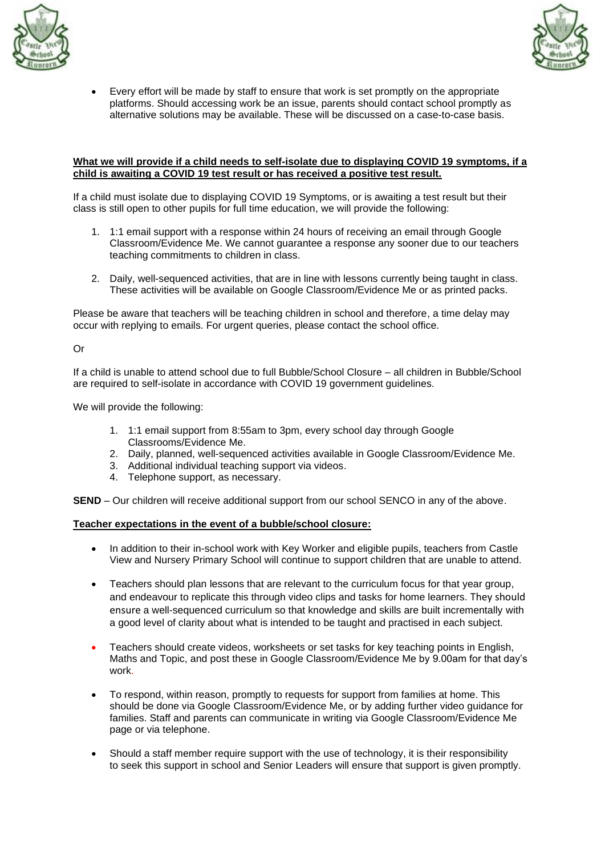



• Every effort will be made by staff to ensure that work is set promptly on the appropriate platforms. Should accessing work be an issue, parents should contact school promptly as alternative solutions may be available. These will be discussed on a case-to-case basis.

### **What we will provide if a child needs to self-isolate due to displaying COVID 19 symptoms, if a child is awaiting a COVID 19 test result or has received a positive test result.**

If a child must isolate due to displaying COVID 19 Symptoms, or is awaiting a test result but their class is still open to other pupils for full time education, we will provide the following:

- 1. 1:1 email support with a response within 24 hours of receiving an email through Google Classroom/Evidence Me. We cannot guarantee a response any sooner due to our teachers teaching commitments to children in class.
- 2. Daily, well-sequenced activities, that are in line with lessons currently being taught in class. These activities will be available on Google Classroom/Evidence Me or as printed packs.

Please be aware that teachers will be teaching children in school and therefore, a time delay may occur with replying to emails. For urgent queries, please contact the school office.

Or

If a child is unable to attend school due to full Bubble/School Closure – all children in Bubble/School are required to self-isolate in accordance with COVID 19 government guidelines.

We will provide the following:

- 1. 1:1 email support from 8:55am to 3pm, every school day through Google Classrooms/Evidence Me.
- 2. Daily, planned, well-sequenced activities available in Google Classroom/Evidence Me.
- 3. Additional individual teaching support via videos.
- 4. Telephone support, as necessary.

**SEND** – Our children will receive additional support from our school SENCO in any of the above.

#### **Teacher expectations in the event of a bubble/school closure:**

- In addition to their in-school work with Key Worker and eligible pupils, teachers from Castle View and Nursery Primary School will continue to support children that are unable to attend.
- Teachers should plan lessons that are relevant to the curriculum focus for that year group, and endeavour to replicate this through video clips and tasks for home learners. They should ensure a well-sequenced curriculum so that knowledge and skills are built incrementally with a good level of clarity about what is intended to be taught and practised in each subject.
- Teachers should create videos, worksheets or set tasks for key teaching points in English, Maths and Topic, and post these in Google Classroom/Evidence Me by 9.00am for that day's work.
- To respond, within reason, promptly to requests for support from families at home. This should be done via Google Classroom/Evidence Me, or by adding further video guidance for families. Staff and parents can communicate in writing via Google Classroom/Evidence Me page or via telephone.
- Should a staff member require support with the use of technology, it is their responsibility to seek this support in school and Senior Leaders will ensure that support is given promptly.